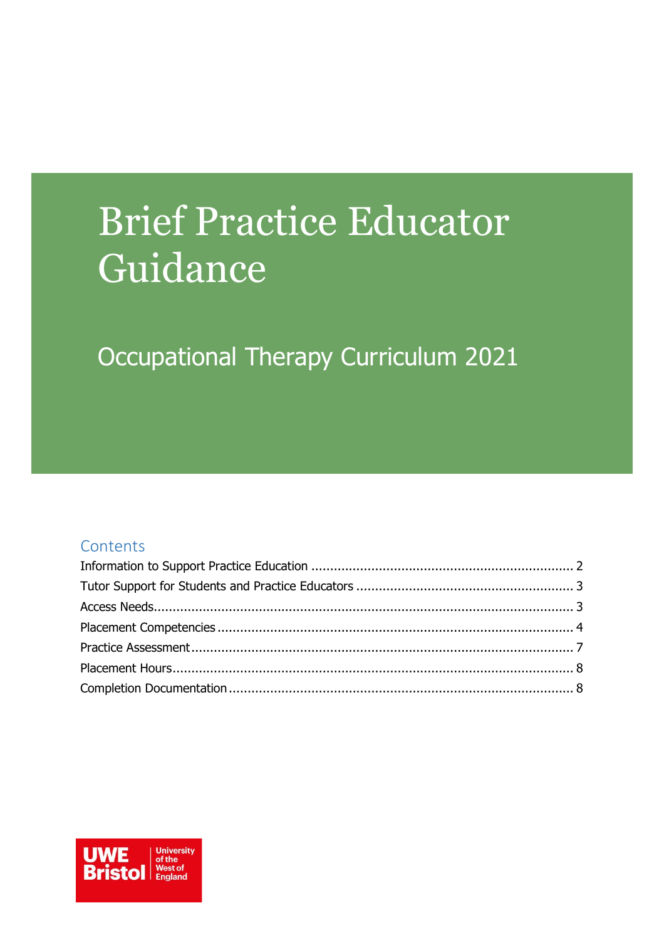# **Brief Practice Educator** Guidance

## Occupational Therapy Curriculum 2021

#### Contents

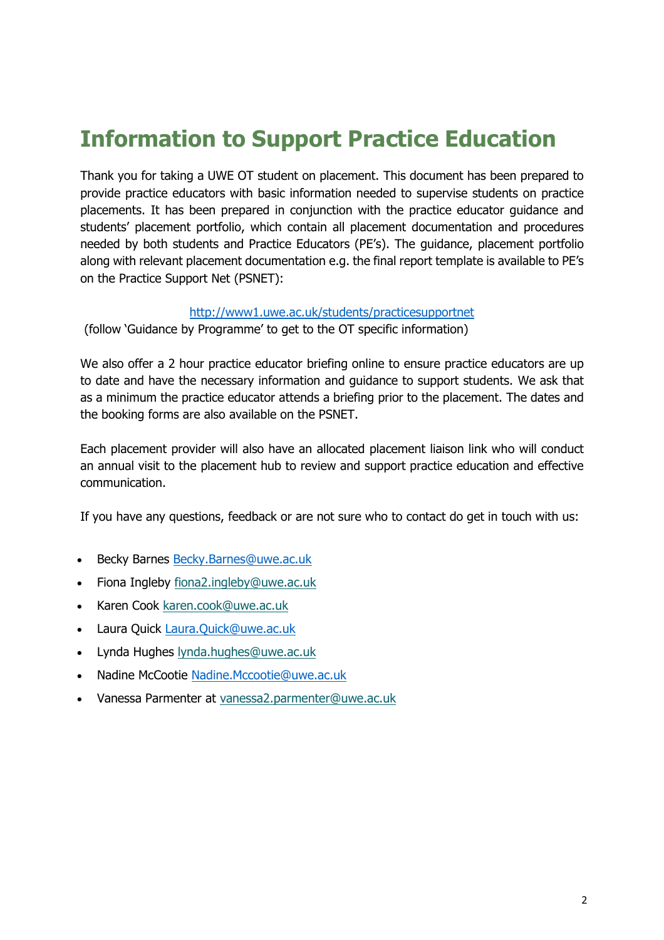### <span id="page-1-0"></span>**Information to Support Practice Education**

Thank you for taking a UWE OT student on placement. This document has been prepared to provide practice educators with basic information needed to supervise students on practice placements. It has been prepared in conjunction with the practice educator guidance and students' placement portfolio, which contain all placement documentation and procedures needed by both students and Practice Educators (PE's). The guidance, placement portfolio along with relevant placement documentation e.g. the final report template is available to PE's on the Practice Support Net (PSNET):

#### <http://www1.uwe.ac.uk/students/practicesupportnet>

(follow 'Guidance by Programme' to get to the OT specific information)

We also offer a 2 hour practice educator briefing online to ensure practice educators are up to date and have the necessary information and guidance to support students. We ask that as a minimum the practice educator attends a briefing prior to the placement. The dates and the booking forms are also available on the PSNET.

Each placement provider will also have an allocated placement liaison link who will conduct an annual visit to the placement hub to review and support practice education and effective communication.

If you have any questions, feedback or are not sure who to contact do get in touch with us:

- Becky Barnes [Becky.Barnes@uwe.ac.uk](mailto:Becky.Barnes@uwe.ac.uk)
- Fiona Ingleby [fiona2.ingleby@uwe.ac.uk](mailto:fiona2.ingleby@uwe.ac.uk)
- Karen Cook [karen.cook@uwe.ac.uk](mailto:karen.cook@uwe.ac.uk)
- Laura Quick [Laura.Quick@uwe.ac.uk](mailto:Laura.Quick@uwe.ac.uk)
- Lynda Hughes [lynda.hughes@uwe.ac.uk](mailto:lynda.hughes@uwe.ac.uk)
- Nadine McCootie [Nadine.Mccootie@uwe.ac.uk](mailto:Nadine.Mccootie@uwe.ac.uk)
- Vanessa Parmenter at [vanessa2.parmenter@uwe.ac.uk](mailto:vanessa2.parmenter@uwe.ac.uk)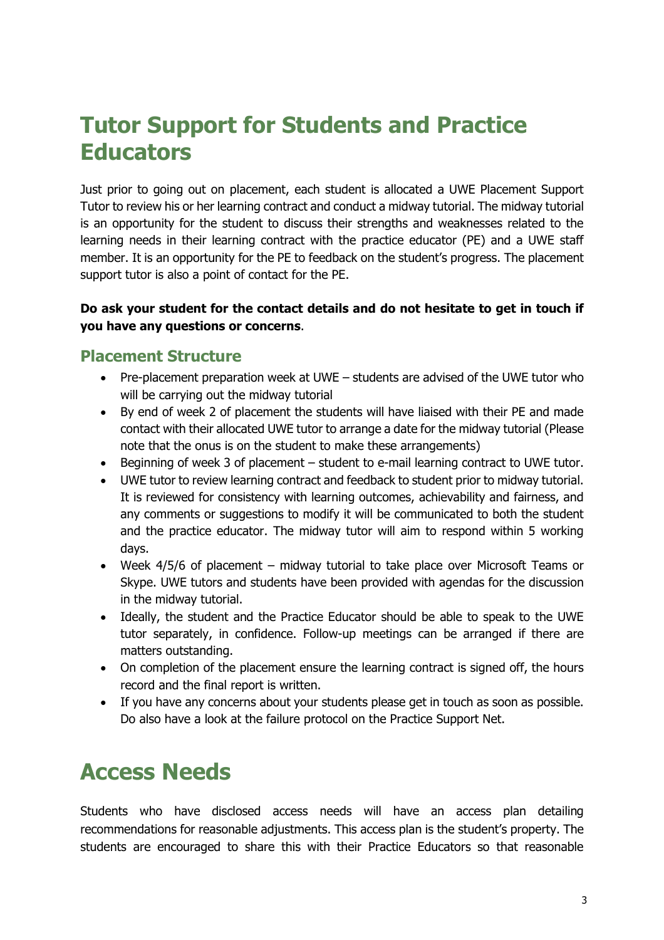### <span id="page-2-0"></span>**Tutor Support for Students and Practice Educators**

Just prior to going out on placement, each student is allocated a UWE Placement Support Tutor to review his or her learning contract and conduct a midway tutorial. The midway tutorial is an opportunity for the student to discuss their strengths and weaknesses related to the learning needs in their learning contract with the practice educator (PE) and a UWE staff member. It is an opportunity for the PE to feedback on the student's progress. The placement support tutor is also a point of contact for the PE.

#### **Do ask your student for the contact details and do not hesitate to get in touch if you have any questions or concerns**.

#### **Placement Structure**

- Pre-placement preparation week at UWE students are advised of the UWE tutor who will be carrying out the midway tutorial
- By end of week 2 of placement the students will have liaised with their PE and made contact with their allocated UWE tutor to arrange a date for the midway tutorial (Please note that the onus is on the student to make these arrangements)
- Beginning of week 3 of placement student to e-mail learning contract to UWE tutor.
- UWE tutor to review learning contract and feedback to student prior to midway tutorial. It is reviewed for consistency with learning outcomes, achievability and fairness, and any comments or suggestions to modify it will be communicated to both the student and the practice educator. The midway tutor will aim to respond within 5 working days.
- Week 4/5/6 of placement midway tutorial to take place over Microsoft Teams or Skype. UWE tutors and students have been provided with agendas for the discussion in the midway tutorial.
- Ideally, the student and the Practice Educator should be able to speak to the UWE tutor separately, in confidence. Follow-up meetings can be arranged if there are matters outstanding.
- On completion of the placement ensure the learning contract is signed off, the hours record and the final report is written.
- If you have any concerns about your students please get in touch as soon as possible. Do also have a look at the failure protocol on the Practice Support Net.

### <span id="page-2-1"></span>**Access Needs**

Students who have disclosed access needs will have an access plan detailing recommendations for reasonable adjustments. This access plan is the student's property. The students are encouraged to share this with their Practice Educators so that reasonable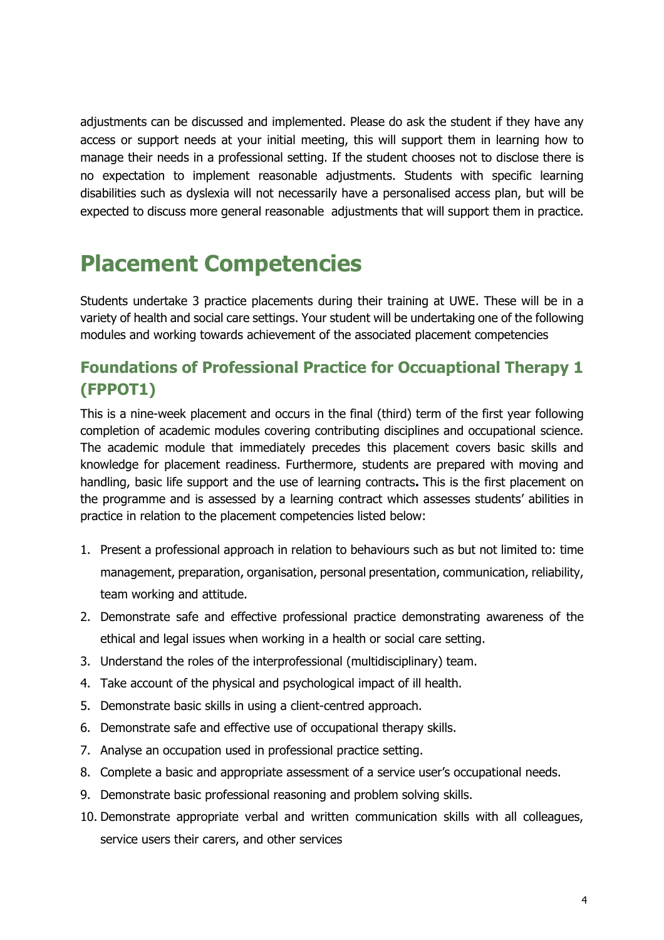adjustments can be discussed and implemented. Please do ask the student if they have any access or support needs at your initial meeting, this will support them in learning how to manage their needs in a professional setting. If the student chooses not to disclose there is no expectation to implement reasonable adjustments. Students with specific learning disabilities such as dyslexia will not necessarily have a personalised access plan, but will be expected to discuss more general reasonable adjustments that will support them in practice.

### <span id="page-3-0"></span>**Placement Competencies**

Students undertake 3 practice placements during their training at UWE. These will be in a variety of health and social care settings. Your student will be undertaking one of the following modules and working towards achievement of the associated placement competencies

### **Foundations of Professional Practice for Occuaptional Therapy 1 (FPPOT1)**

This is a nine-week placement and occurs in the final (third) term of the first year following completion of academic modules covering contributing disciplines and occupational science. The academic module that immediately precedes this placement covers basic skills and knowledge for placement readiness. Furthermore, students are prepared with moving and handling, basic life support and the use of learning contracts**.** This is the first placement on the programme and is assessed by a learning contract which assesses students' abilities in practice in relation to the placement competencies listed below:

- 1. Present a professional approach in relation to behaviours such as but not limited to: time management, preparation, organisation, personal presentation, communication, reliability, team working and attitude.
- 2. Demonstrate safe and effective professional practice demonstrating awareness of the ethical and legal issues when working in a health or social care setting.
- 3. Understand the roles of the interprofessional (multidisciplinary) team.
- 4. Take account of the physical and psychological impact of ill health.
- 5. Demonstrate basic skills in using a client-centred approach.
- 6. Demonstrate safe and effective use of occupational therapy skills.
- 7. Analyse an occupation used in professional practice setting.
- 8. Complete a basic and appropriate assessment of a service user's occupational needs.
- 9. Demonstrate basic professional reasoning and problem solving skills.
- 10. Demonstrate appropriate verbal and written communication skills with all colleagues, service users their carers, and other services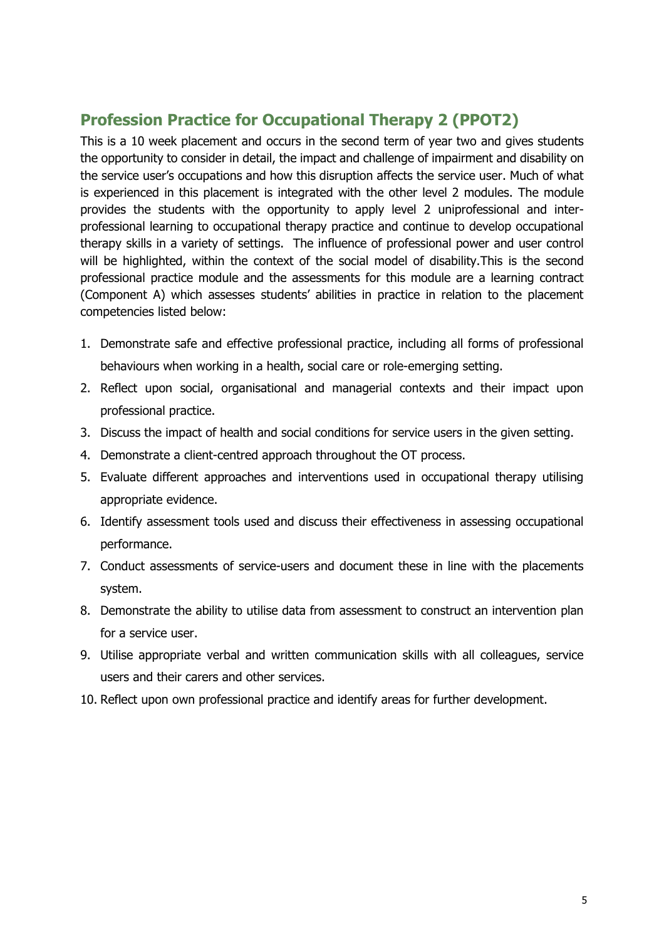### **Profession Practice for Occupational Therapy 2 (PPOT2)**

This is a 10 week placement and occurs in the second term of year two and gives students the opportunity to consider in detail, the impact and challenge of impairment and disability on the service user's occupations and how this disruption affects the service user. Much of what is experienced in this placement is integrated with the other level 2 modules. The module provides the students with the opportunity to apply level 2 uniprofessional and interprofessional learning to occupational therapy practice and continue to develop occupational therapy skills in a variety of settings. The influence of professional power and user control will be highlighted, within the context of the social model of disability.This is the second professional practice module and the assessments for this module are a learning contract (Component A) which assesses students' abilities in practice in relation to the placement competencies listed below:

- 1. Demonstrate safe and effective professional practice, including all forms of professional behaviours when working in a health, social care or role-emerging setting.
- 2. Reflect upon social, organisational and managerial contexts and their impact upon professional practice.
- 3. Discuss the impact of health and social conditions for service users in the given setting.
- 4. Demonstrate a client-centred approach throughout the OT process.
- 5. Evaluate different approaches and interventions used in occupational therapy utilising appropriate evidence.
- 6. Identify assessment tools used and discuss their effectiveness in assessing occupational performance.
- 7. Conduct assessments of service-users and document these in line with the placements system.
- 8. Demonstrate the ability to utilise data from assessment to construct an intervention plan for a service user.
- 9. Utilise appropriate verbal and written communication skills with all colleagues, service users and their carers and other services.
- 10. Reflect upon own professional practice and identify areas for further development.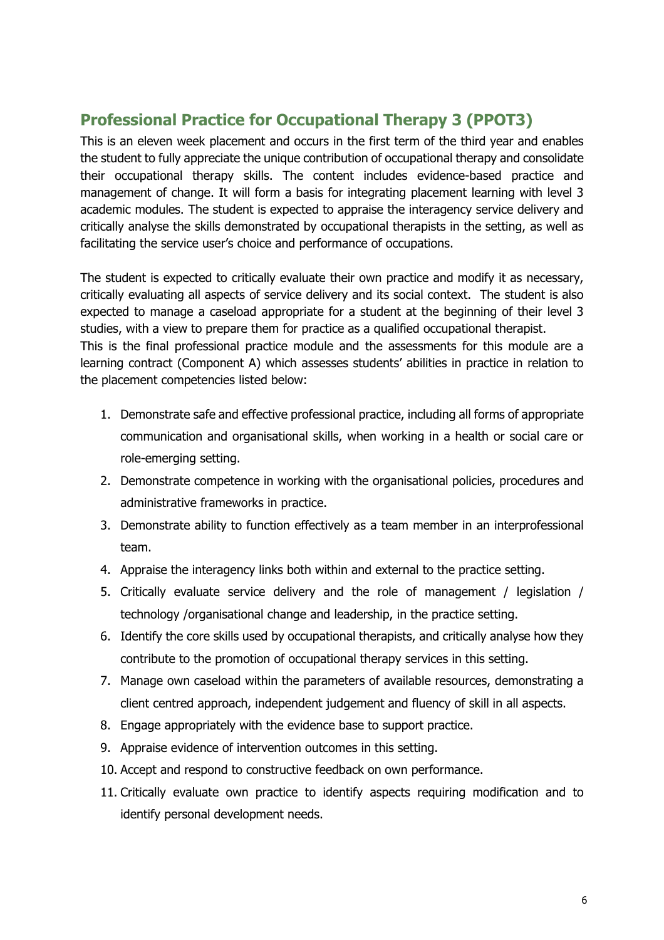### **Professional Practice for Occupational Therapy 3 (PPOT3)**

This is an eleven week placement and occurs in the first term of the third year and enables the student to fully appreciate the unique contribution of occupational therapy and consolidate their occupational therapy skills. The content includes evidence-based practice and management of change. It will form a basis for integrating placement learning with level 3 academic modules. The student is expected to appraise the interagency service delivery and critically analyse the skills demonstrated by occupational therapists in the setting, as well as facilitating the service user's choice and performance of occupations.

The student is expected to critically evaluate their own practice and modify it as necessary, critically evaluating all aspects of service delivery and its social context. The student is also expected to manage a caseload appropriate for a student at the beginning of their level 3 studies, with a view to prepare them for practice as a qualified occupational therapist. This is the final professional practice module and the assessments for this module are a learning contract (Component A) which assesses students' abilities in practice in relation to

1. Demonstrate safe and effective professional practice, including all forms of appropriate communication and organisational skills, when working in a health or social care or

the placement competencies listed below:

- role-emerging setting. 2. Demonstrate competence in working with the organisational policies, procedures and
- administrative frameworks in practice. 3. Demonstrate ability to function effectively as a team member in an interprofessional
- team. 4. Appraise the interagency links both within and external to the practice setting.
- 5. Critically evaluate service delivery and the role of management / legislation / technology /organisational change and leadership, in the practice setting.
- 6. Identify the core skills used by occupational therapists, and critically analyse how they contribute to the promotion of occupational therapy services in this setting.
- 7. Manage own caseload within the parameters of available resources, demonstrating a client centred approach, independent judgement and fluency of skill in all aspects.
- 8. Engage appropriately with the evidence base to support practice.
- 9. Appraise evidence of intervention outcomes in this setting.
- 10. Accept and respond to constructive feedback on own performance.
- 11. Critically evaluate own practice to identify aspects requiring modification and to identify personal development needs.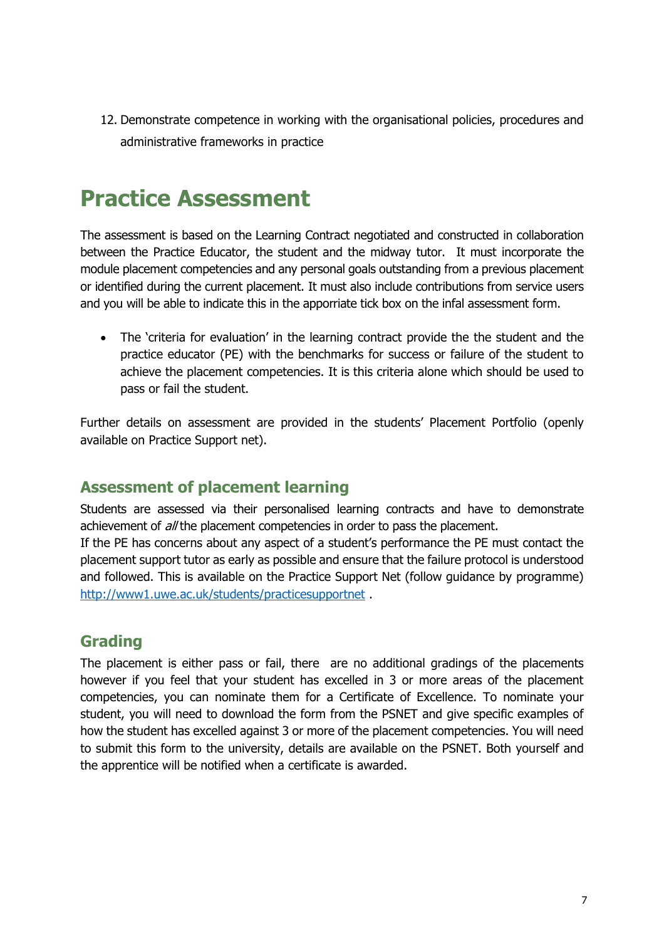12. Demonstrate competence in working with the organisational policies, procedures and administrative frameworks in practice

### <span id="page-6-0"></span>**Practice Assessment**

The assessment is based on the Learning Contract negotiated and constructed in collaboration between the Practice Educator, the student and the midway tutor. It must incorporate the module placement competencies and any personal goals outstanding from a previous placement or identified during the current placement. It must also include contributions from service users and you will be able to indicate this in the apporriate tick box on the infal assessment form.

• The 'criteria for evaluation' in the learning contract provide the the student and the practice educator (PE) with the benchmarks for success or failure of the student to achieve the placement competencies. It is this criteria alone which should be used to pass or fail the student.

Further details on assessment are provided in the students' Placement Portfolio (openly available on Practice Support net).

#### **Assessment of placement learning**

Students are assessed via their personalised learning contracts and have to demonstrate achievement of *all* the placement competencies in order to pass the placement.

If the PE has concerns about any aspect of a student's performance the PE must contact the placement support tutor as early as possible and ensure that the failure protocol is understood and followed. This is available on the Practice Support Net (follow guidance by programme) <http://www1.uwe.ac.uk/students/practicesupportnet> .

#### **Grading**

The placement is either pass or fail, there are no additional gradings of the placements however if you feel that your student has excelled in 3 or more areas of the placement competencies, you can nominate them for a Certificate of Excellence. To nominate your student, you will need to download the form from the PSNET and give specific examples of how the student has excelled against 3 or more of the placement competencies. You will need to submit this form to the university, details are available on the PSNET. Both yourself and the apprentice will be notified when a certificate is awarded.